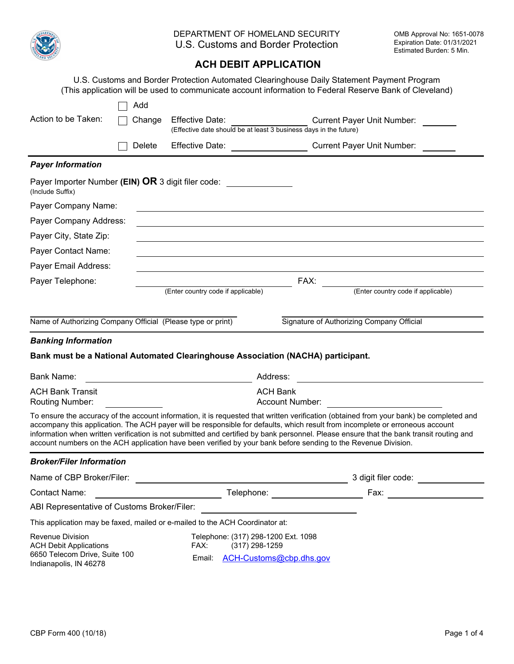

|                                                                                           |        |                                                                                             |                                                                                                                                                                                                                                                                                                                                                                                                                                                                                                                                       | sumated Duruen. J Mill. |
|-------------------------------------------------------------------------------------------|--------|---------------------------------------------------------------------------------------------|---------------------------------------------------------------------------------------------------------------------------------------------------------------------------------------------------------------------------------------------------------------------------------------------------------------------------------------------------------------------------------------------------------------------------------------------------------------------------------------------------------------------------------------|-------------------------|
|                                                                                           |        | <b>ACH DEBIT APPLICATION</b>                                                                |                                                                                                                                                                                                                                                                                                                                                                                                                                                                                                                                       |                         |
|                                                                                           |        |                                                                                             | U.S. Customs and Border Protection Automated Clearinghouse Daily Statement Payment Program<br>(This application will be used to communicate account information to Federal Reserve Bank of Cleveland)                                                                                                                                                                                                                                                                                                                                 |                         |
|                                                                                           | Add    |                                                                                             |                                                                                                                                                                                                                                                                                                                                                                                                                                                                                                                                       |                         |
| Action to be Taken:                                                                       | Change | <b>Effective Date:</b><br>(Effective date should be at least 3 business days in the future) | <b>Current Payer Unit Number:</b>                                                                                                                                                                                                                                                                                                                                                                                                                                                                                                     |                         |
|                                                                                           | Delete | <b>Effective Date:</b>                                                                      | <b>Current Payer Unit Number:</b>                                                                                                                                                                                                                                                                                                                                                                                                                                                                                                     |                         |
| <b>Payer Information</b>                                                                  |        |                                                                                             |                                                                                                                                                                                                                                                                                                                                                                                                                                                                                                                                       |                         |
| (Include Suffix)                                                                          |        | Payer Importer Number (EIN) OR 3 digit filer code:                                          |                                                                                                                                                                                                                                                                                                                                                                                                                                                                                                                                       |                         |
| Payer Company Name:                                                                       |        |                                                                                             |                                                                                                                                                                                                                                                                                                                                                                                                                                                                                                                                       |                         |
| Payer Company Address:                                                                    |        |                                                                                             |                                                                                                                                                                                                                                                                                                                                                                                                                                                                                                                                       |                         |
| Payer City, State Zip:                                                                    |        |                                                                                             |                                                                                                                                                                                                                                                                                                                                                                                                                                                                                                                                       |                         |
| Payer Contact Name:                                                                       |        |                                                                                             |                                                                                                                                                                                                                                                                                                                                                                                                                                                                                                                                       |                         |
| Payer Email Address:                                                                      |        |                                                                                             |                                                                                                                                                                                                                                                                                                                                                                                                                                                                                                                                       |                         |
| Payer Telephone:                                                                          |        |                                                                                             | FAX:<br>(Enter country code if applicable)                                                                                                                                                                                                                                                                                                                                                                                                                                                                                            |                         |
|                                                                                           |        | (Enter country code if applicable)                                                          |                                                                                                                                                                                                                                                                                                                                                                                                                                                                                                                                       |                         |
|                                                                                           |        |                                                                                             |                                                                                                                                                                                                                                                                                                                                                                                                                                                                                                                                       |                         |
| Name of Authorizing Company Official (Please type or print)                               |        |                                                                                             | Signature of Authorizing Company Official                                                                                                                                                                                                                                                                                                                                                                                                                                                                                             |                         |
| <b>Banking Information</b>                                                                |        |                                                                                             |                                                                                                                                                                                                                                                                                                                                                                                                                                                                                                                                       |                         |
|                                                                                           |        | Bank must be a National Automated Clearinghouse Association (NACHA) participant.            |                                                                                                                                                                                                                                                                                                                                                                                                                                                                                                                                       |                         |
| <b>Bank Name:</b>                                                                         |        | Address:<br><u> 1989 - Johann Barnett, fransk politiker (</u>                               |                                                                                                                                                                                                                                                                                                                                                                                                                                                                                                                                       |                         |
| <b>ACH Bank Transit</b><br>Routing Number:                                                |        | <b>ACH Bank</b><br>Account Number:                                                          |                                                                                                                                                                                                                                                                                                                                                                                                                                                                                                                                       |                         |
|                                                                                           |        |                                                                                             | To ensure the accuracy of the account information, it is requested that written verification (obtained from your bank) be completed and<br>accompany this application. The ACH payer will be responsible for defaults, which result from incomplete or erroneous account<br>information when written verification is not submitted and certified by bank personnel. Please ensure that the bank transit routing and<br>account numbers on the ACH application have been verified by your bank before sending to the Revenue Division. |                         |
| <b>Broker/Filer Information</b>                                                           |        |                                                                                             |                                                                                                                                                                                                                                                                                                                                                                                                                                                                                                                                       |                         |
| Name of CBP Broker/Filer:                                                                 |        |                                                                                             |                                                                                                                                                                                                                                                                                                                                                                                                                                                                                                                                       | 3 digit filer code:     |
| <b>Contact Name:</b>                                                                      |        |                                                                                             | Telephone: ______________________                                                                                                                                                                                                                                                                                                                                                                                                                                                                                                     |                         |
| ABI Representative of Customs Broker/Filer:                                               |        |                                                                                             |                                                                                                                                                                                                                                                                                                                                                                                                                                                                                                                                       |                         |
|                                                                                           |        | This application may be faxed, mailed or e-mailed to the ACH Coordinator at:                |                                                                                                                                                                                                                                                                                                                                                                                                                                                                                                                                       |                         |
| <b>Revenue Division</b><br><b>ACH Debit Applications</b><br>6650 Telecom Drive, Suite 100 |        | Telephone: (317) 298-1200 Ext. 1098<br>FAX:<br>$(317)$ 298-1259                             |                                                                                                                                                                                                                                                                                                                                                                                                                                                                                                                                       |                         |
| Indianapolis, IN 46278                                                                    |        | Email:<br>ACH-Customs@cbp.dhs.gov                                                           |                                                                                                                                                                                                                                                                                                                                                                                                                                                                                                                                       |                         |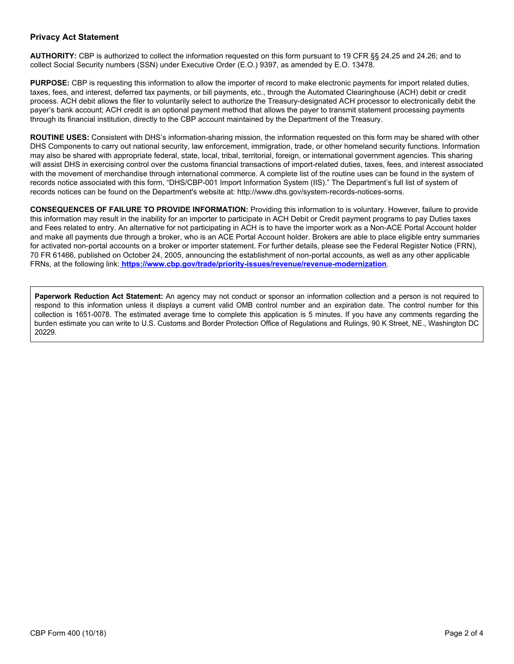### **Privacy Act Statement**

**AUTHORITY:** CBP is authorized to collect the information requested on this form pursuant to 19 CFR §§ 24.25 and 24.26; and to collect Social Security numbers (SSN) under Executive Order (E.O.) 9397, as amended by E.O. 13478.

**PURPOSE:** CBP is requesting this information to allow the importer of record to make electronic payments for import related duties, taxes, fees, and interest, deferred tax payments, or bill payments, etc., through the Automated Clearinghouse (ACH) debit or credit process. ACH debit allows the filer to voluntarily select to authorize the Treasury-designated ACH processor to electronically debit the payer's bank account; ACH credit is an optional payment method that allows the payer to transmit statement processing payments through its financial institution, directly to the CBP account maintained by the Department of the Treasury.

**ROUTINE USES:** Consistent with DHS's information-sharing mission, the information requested on this form may be shared with other DHS Components to carry out national security, law enforcement, immigration, trade, or other homeland security functions. Information may also be shared with appropriate federal, state, local, tribal, territorial, foreign, or international government agencies. This sharing will assist DHS in exercising control over the customs financial transactions of import-related duties, taxes, fees, and interest associated with the movement of merchandise through international commerce. A complete list of the routine uses can be found in the system of records notice associated with this form, "DHS/CBP-001 Import Information System (IIS)." The Department's full list of system of records notices can be found on the Department's website at: http://www.dhs.gov/system-records-notices-sorns.

**CONSEQUENCES OF FAILURE TO PROVIDE INFORMATION:** Providing this information to is voluntary. However, failure to provide this information may result in the inability for an importer to participate in ACH Debit or Credit payment programs to pay Duties taxes and Fees related to entry. An alternative for not participating in ACH is to have the importer work as a Non-ACE Portal Account holder and make all payments due through a broker, who is an ACE Portal Account holder. Brokers are able to place eligible entry summaries for activated non-portal accounts on a broker or importer statement. For further details, please see the Federal Register Notice (FRN), 70 FR 61466, published on October 24, 2005, announcing the establishment of non-portal accounts, as well as any other applicable FRNs, at the following link:**<https://www.cbp.gov/trade/priority-issues/revenue/revenue-modernization>**.

**Paperwork Reduction Act Statement:** An agency may not conduct or sponsor an information collection and a person is not required to respond to this information unless it displays a current valid OMB control number and an expiration date. The control number for this collection is 1651-0078. The estimated average time to complete this application is 5 minutes. If you have any comments regarding the burden estimate you can write to U.S. Customs and Border Protection Office of Regulations and Rulings, 90 K Street, NE., Washington DC 20229.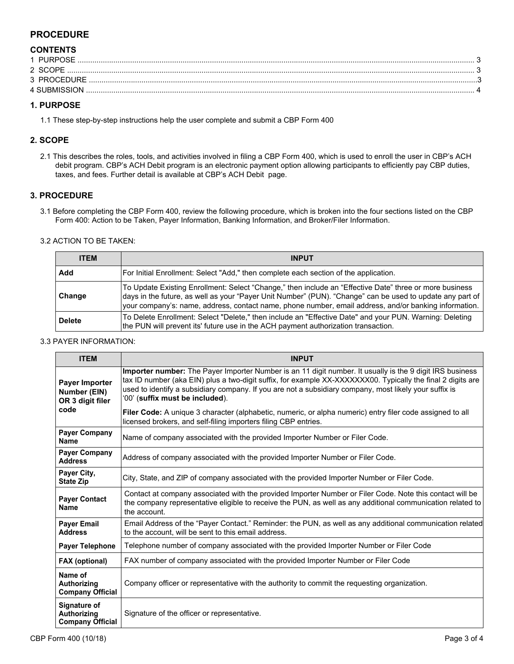# **PROCEDURE**

# **CONTENTS**

| 1 PURPOSE    |  |
|--------------|--|
| 2 SCOPE      |  |
| 3 PROCEDURE  |  |
| 4 SUBMISSION |  |

### **1. PURPOSE**

1.1 These step-by-step instructions help the user complete and submit a CBP Form 400

## **2. SCOPE**

2.1 This describes the roles, tools, and activities involved in filing a CBP Form 400, which is used to enroll the user in CBP's ACH debit program. CBP's ACH Debit program is an electronic payment option allowing participants to efficiently pay CBP duties, taxes, and fees. Further detail is available at CBP's ACH Debit page.

## **3. PROCEDURE**

3.1 Before completing the CBP Form 400, review the following procedure, which is broken into the four sections listed on the CBP Form 400: Action to be Taken, Payer Information, Banking Information, and Broker/Filer Information.

#### 3.2 ACTION TO BE TAKEN:

| <b>ITEM</b>   | <b>INPUT</b>                                                                                                                                                                                                                                                                                                                  |
|---------------|-------------------------------------------------------------------------------------------------------------------------------------------------------------------------------------------------------------------------------------------------------------------------------------------------------------------------------|
| Add           | For Initial Enrollment: Select "Add," then complete each section of the application.                                                                                                                                                                                                                                          |
| Change        | To Update Existing Enrollment: Select "Change," then include an "Effective Date" three or more business<br>days in the future, as well as your "Payer Unit Number" (PUN). "Change" can be used to update any part of<br>your company's: name, address, contact name, phone number, email address, and/or banking information. |
| <b>Delete</b> | To Delete Enrollment: Select "Delete," then include an "Effective Date" and your PUN. Warning: Deleting<br>the PUN will prevent its' future use in the ACH payment authorization transaction.                                                                                                                                 |

#### 3.3 PAYER INFORMATION:

| <b>ITEM</b>                                                          | <b>INPUT</b>                                                                                                                                                                                                                                                                                                                                                                                                                                                                      |
|----------------------------------------------------------------------|-----------------------------------------------------------------------------------------------------------------------------------------------------------------------------------------------------------------------------------------------------------------------------------------------------------------------------------------------------------------------------------------------------------------------------------------------------------------------------------|
| Payer Importer<br>Number (EIN)<br>OR 3 digit filer<br>code           | Importer number: The Payer Importer Number is an 11 digit number. It usually is the 9 digit IRS business<br>tax ID number (aka EIN) plus a two-digit suffix, for example XX-XXXXXXX00. Typically the final 2 digits are<br>used to identify a subsidiary company. If you are not a subsidiary company, most likely your suffix is<br>'00' (suffix must be included).<br>Filer Code: A unique 3 character (alphabetic, numeric, or alpha numeric) entry filer code assigned to all |
|                                                                      | licensed brokers, and self-filing importers filing CBP entries.                                                                                                                                                                                                                                                                                                                                                                                                                   |
| <b>Payer Company</b><br>Name                                         | Name of company associated with the provided Importer Number or Filer Code.                                                                                                                                                                                                                                                                                                                                                                                                       |
| <b>Payer Company</b><br><b>Address</b>                               | Address of company associated with the provided Importer Number or Filer Code.                                                                                                                                                                                                                                                                                                                                                                                                    |
| Payer City,<br><b>State Zip</b>                                      | City, State, and ZIP of company associated with the provided Importer Number or Filer Code.                                                                                                                                                                                                                                                                                                                                                                                       |
| <b>Payer Contact</b><br>Name                                         | Contact at company associated with the provided Importer Number or Filer Code. Note this contact will be<br>the company representative eligible to receive the PUN, as well as any additional communication related to<br>the account.                                                                                                                                                                                                                                            |
| <b>Payer Email</b><br><b>Address</b>                                 | Email Address of the "Payer Contact." Reminder: the PUN, as well as any additional communication related<br>to the account, will be sent to this email address.                                                                                                                                                                                                                                                                                                                   |
| <b>Payer Telephone</b>                                               | Telephone number of company associated with the provided Importer Number or Filer Code                                                                                                                                                                                                                                                                                                                                                                                            |
| <b>FAX (optional)</b>                                                | FAX number of company associated with the provided Importer Number or Filer Code                                                                                                                                                                                                                                                                                                                                                                                                  |
| Name of<br>Authorizing<br><b>Company Official</b>                    | Company officer or representative with the authority to commit the requesting organization.                                                                                                                                                                                                                                                                                                                                                                                       |
| <b>Signature of</b><br><b>Authorizing</b><br><b>Company Official</b> | Signature of the officer or representative.                                                                                                                                                                                                                                                                                                                                                                                                                                       |